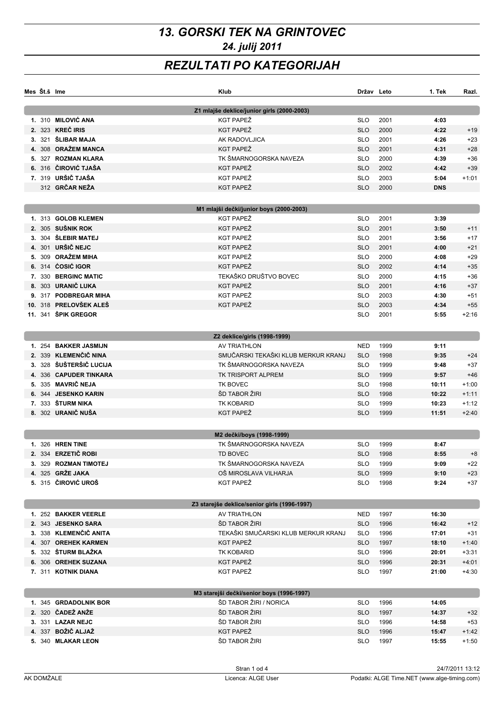# *13. GORSKI TEK NA GRINTOVEC 24. julij 2011*

## *REZULTATI PO KATEGORIJAH*

|    | Mes Št.š Ime |                         | Klub                                         | Držav Leto |      | 1. Tek     | Razi.   |
|----|--------------|-------------------------|----------------------------------------------|------------|------|------------|---------|
|    |              |                         | Z1 mlajše deklice/junior girls (2000-2003)   |            |      |            |         |
|    |              | 1. 310 MILOVIĆ ANA      | KGT PAPEŽ                                    | <b>SLO</b> | 2001 | 4:03       |         |
|    |              | 2. 323 KREČ IRIS        | KGT PAPEŽ                                    | <b>SLO</b> | 2000 | 4:22       | $+19$   |
|    |              | 3. 321 ŠLIBAR MAJA      | AK RADOVLJICA                                | <b>SLO</b> | 2001 | 4:26       | $+23$   |
|    |              | 308 ORAŽEM MANCA        | KGT PAPEŽ                                    | <b>SLO</b> | 2001 | 4:31       | $+28$   |
| 5. |              | 327 ROZMAN KLARA        | TK ŠMARNOGORSKA NAVEZA                       | <b>SLO</b> | 2000 | 4:39       | $+36$   |
|    |              | 6. 316 ČIROVIĆ TJAŠA    | KGT PAPEŽ                                    | <b>SLO</b> | 2002 | 4:42       | $+39$   |
|    |              | 7. 319 URŠIČ TJAŠA      | KGT PAPEŽ                                    | <b>SLO</b> | 2003 | 5:04       | $+1:01$ |
|    |              | 312 GRČAR NEŽA          | KGT PAPEŽ                                    | <b>SLO</b> | 2000 | <b>DNS</b> |         |
|    |              |                         | M1 mlajši dečki/junior boys (2000-2003)      |            |      |            |         |
|    |              | 1. 313 GOLOB KLEMEN     | KGT PAPEŽ                                    | <b>SLO</b> | 2001 | 3:39       |         |
|    |              | 2. 305 SUŠNIK ROK       | KGT PAPEŽ                                    | <b>SLO</b> | 2001 | 3:50       | $+11$   |
| 3. |              | 304 ŠLEBIR MATEJ        | KGT PAPEŽ                                    | <b>SLO</b> | 2001 | 3:56       | $+17$   |
|    |              | 4. 301 URŠIČ NEJC       | KGT PAPEŽ                                    | <b>SLO</b> | 2001 | 4:00       | $+21$   |
|    |              | 5. 309 ORAŽEM MIHA      | KGT PAPEŽ                                    | <b>SLO</b> | 2000 | 4:08       | $+29$   |
|    |              | 6. 314 ĆOSIĆ IGOR       | KGT PAPEŽ                                    | <b>SLO</b> | 2002 | 4:14       | $+35$   |
|    |              | 7. 330 BERGINC MATIC    | TEKAŠKO DRUŠTVO BOVEC                        | <b>SLO</b> | 2000 | 4:15       | $+36$   |
|    |              | 8. 303 URANIČ LUKA      | KGT PAPEŽ                                    | <b>SLO</b> | 2001 | 4:16       | $+37$   |
|    |              | 9. 317 PODBREGAR MIHA   | KGT PAPEŽ                                    | <b>SLO</b> | 2003 | 4:30       | $+51$   |
|    |              | 10. 318 PRELOVŠEK ALEŠ  | KGT PAPEŽ                                    | <b>SLO</b> | 2003 | 4:34       | $+55$   |
|    |              | 11. 341 ŠPIK GREGOR     |                                              | <b>SLO</b> | 2001 | 5:55       | $+2:16$ |
|    |              |                         |                                              |            |      |            |         |
|    |              |                         | Z2 deklice/girls (1998-1999)                 |            |      |            |         |
|    |              | 1. 254 BAKKER JASMIJN   | AV TRIATHLON                                 | NED        | 1999 | 9:11       |         |
|    |              | 2. 339 KLEMENČIČ NINA   | SMUČARSKI TEKAŠKI KLUB MERKUR KRANJ          | <b>SLO</b> | 1998 | 9:35       | $+24$   |
|    |              | 3. 328 ŠUŠTERŠIČ LUCIJA | TK ŠMARNOGORSKA NAVEZA                       | <b>SLO</b> | 1999 | 9:48       | $+37$   |
|    |              | 4. 336 CAPUDER TINKARA  | TK TRISPORT ALPREM                           | <b>SLO</b> | 1999 | 9:57       | $+46$   |
|    |              | 5. 335 MAVRIČ NEJA      | TK BOVEC                                     | <b>SLO</b> | 1998 | 10:11      | $+1:00$ |
|    |              | 6. 344 JESENKO KARIN    | ŠD TABOR ŽIRI                                | <b>SLO</b> | 1998 | 10:22      | $+1:11$ |
|    |              | 7. 333 ŠTURM NIKA       | <b>TK KOBARID</b>                            | <b>SLO</b> | 1999 | 10:23      | $+1:12$ |
|    |              | 8. 302 URANIČ NUŠA      | KGT PAPEŽ                                    | <b>SLO</b> | 1999 | 11:51      | $+2:40$ |
|    |              |                         | M2 dečki/boys (1998-1999)                    |            |      |            |         |
|    |              | 1. 326 HREN TINE        | TK ŠMARNOGORSKA NAVEZA                       | <b>SLO</b> | 1999 | 8:47       |         |
|    |              | 2. 334 ERZETIČ ROBI     | TD BOVEC                                     | <b>SLO</b> | 1998 | 8:55       | $+8$    |
|    |              | 3. 329 ROZMAN TIMOTEJ   | TK ŠMARNOGORSKA NAVEZA                       | <b>SLO</b> | 1999 | 9:09       | $+22$   |
|    |              | 4. 325 GRŽE JAKA        | OŠ MIROSLAVA VILHARJA                        | <b>SLO</b> | 1999 | 9:10       | $+23$   |
|    |              | 5. 315 ČIROVIĆ UROŠ     | KGT PAPEŽ                                    | <b>SLO</b> | 1998 | 9:24       | $+37$   |
|    |              |                         |                                              |            |      |            |         |
|    |              |                         | Z3 starejše deklice/senior girls (1996-1997) |            |      |            |         |
|    |              | 1. 252 BAKKER VEERLE    | <b>AV TRIATHLON</b>                          | NED        | 1997 | 16:30      |         |
|    |              | 2. 343 JESENKO SARA     | ŠD TABOR ŽIRI                                | <b>SLO</b> | 1996 | 16:42      | $+12$   |
|    |              | 3. 338 KLEMENČIČ ANITA  | TEKAŠKI SMUČARSKI KLUB MERKUR KRANJ          | <b>SLO</b> | 1996 | 17:01      | $+31$   |
|    |              | 4. 307 OREHEK KARMEN    | KGT PAPEŽ                                    | <b>SLO</b> | 1997 | 18:10      | $+1:40$ |
|    |              | 5. 332 ŠTURM BLAŽKA     | TK KOBARID                                   | <b>SLO</b> | 1996 | 20:01      | $+3:31$ |
|    |              | 6. 306 OREHEK SUZANA    | KGT PAPEŽ                                    | <b>SLO</b> | 1996 | 20:31      | $+4:01$ |
|    |              | 7. 311 KOTNIK DIANA     | KGT PAPEŽ                                    | <b>SLO</b> | 1997 | 21:00      | $+4:30$ |
|    |              |                         | M3 starejši dečki/senior boys (1996-1997)    |            |      |            |         |
|    |              | 1. 345 GRDADOLNIK BOR   | ŠD TABOR ŽIRI / NORICA                       | <b>SLO</b> | 1996 | 14:05      |         |
|    |              | 2. 320 ČADEŽ ANŽE       | ŠD TABOR ŽIRI                                | <b>SLO</b> | 1997 | 14:37      | $+32$   |
|    |              | 3. 331 LAZAR NEJC       | ŠD TABOR ŽIRI                                | <b>SLO</b> | 1996 | 14:58      | $+53$   |
|    |              | 4. 337 BOŽIČ ALJAŽ      | KGT PAPEŽ                                    | <b>SLO</b> | 1996 | 15:47      | $+1:42$ |
|    |              | 5. 340 MLAKAR LEON      | ŠD TABOR ŽIRI                                | <b>SLO</b> | 1997 | 15:55      | $+1:50$ |
|    |              |                         |                                              |            |      |            |         |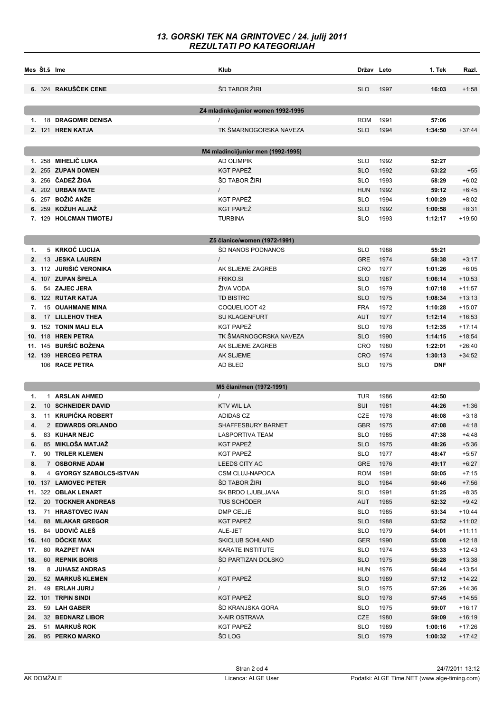#### *13. GORSKI TEK NA GRINTOVEC / 24. julij 2011 REZULTATI PO KATEGORIJAH*

|     | Mes Št.š Ime |                           | Klub                               | Držav Leto |      | 1. Tek     | Razi.    |
|-----|--------------|---------------------------|------------------------------------|------------|------|------------|----------|
|     |              | 6. 324 RAKUŠČEK CENE      | ŠD TABOR ŽIRI                      | SLO        | 1997 | 16:03      | +1:58    |
|     |              |                           | Z4 mladinke/junior women 1992-1995 |            |      |            |          |
| 1.  |              | <b>18 DRAGOMIR DENISA</b> |                                    | <b>ROM</b> | 1991 | 57:06      |          |
|     |              | 2. 121 HREN KATJA         | TK ŠMARNOGORSKA NAVEZA             | <b>SLO</b> | 1994 | 1:34:50    | $+37:44$ |
|     |              |                           |                                    |            |      |            |          |
|     |              |                           | M4 mladinci/junior men (1992-1995) |            |      |            |          |
|     |              | 1. 258 MIHELIČ LUKA       | <b>AD OLIMPIK</b>                  | <b>SLO</b> | 1992 | 52:27      |          |
|     |              | 2. 255 ZUPAN DOMEN        | KGT PAPEŽ                          | <b>SLO</b> | 1992 | 53:22      | $+55$    |
|     |              | 3. 256 ČADEŽ ŽIGA         | ŠD TABOR ŽIRI                      | <b>SLO</b> | 1993 | 58:29      | $+6:02$  |
|     |              | 4. 202 URBAN MATE         | $\prime$                           | <b>HUN</b> | 1992 | 59:12      | $+6:45$  |
|     |              | 5. 257 BOŽIČ ANŽE         | KGT PAPEŽ                          | <b>SLO</b> | 1994 | 1:00:29    | $+8:02$  |
|     |              | 6. 259 KOŽUH ALJAŽ        | <b>KGT PAPEŽ</b>                   | <b>SLO</b> | 1992 | 1:00:58    | $+8:31$  |
|     |              | 7. 129 HOLCMAN TIMOTEJ    | <b>TURBINA</b>                     | <b>SLO</b> | 1993 | 1:12:17    | +19:50   |
|     |              |                           |                                    |            |      |            |          |
|     |              | 5 KRKOČ LUCIJA            | Z5 članice/women (1972-1991)       |            |      |            |          |
| 1.  |              |                           | ŠD NANOS PODNANOS                  | <b>SLO</b> | 1988 | 55:21      |          |
| 2.  |              | 13 JESKA LAUREN           | $\prime$                           | <b>GRE</b> | 1974 | 58:38      | $+3:17$  |
|     |              | 3. 112 JURIŠIĆ VERONIKA   | AK SLJEME ZAGREB                   | <b>CRO</b> | 1977 | 1:01:26    | $+6:05$  |
|     |              | 4. 107 ZUPAN SPELA        | <b>FRIKO.SI</b>                    | <b>SLO</b> | 1987 | 1:06:14    | $+10:53$ |
|     |              | 54 ZAJEC JERA             | ŽIVA VODA                          | <b>SLO</b> | 1979 | 1:07:18    | $+11:57$ |
|     |              | 6. 122 RUTAR KATJA        | <b>TD BISTRC</b>                   | <b>SLO</b> | 1975 | 1:08:34    | $+13:13$ |
| 7.  |              | <b>15 OUAHMANE MINA</b>   | COQUELICOT 42                      | <b>FRA</b> | 1972 | 1:10:28    | $+15:07$ |
| 8.  |              | 17 LILLEHOV THEA          | <b>SU KLAGENFURT</b>               | <b>AUT</b> | 1977 | 1:12:14    | $+16:53$ |
|     |              | 9. 152 TONIN MALI ELA     | KGT PAPEŽ                          | <b>SLO</b> | 1978 | 1:12:35    | $+17:14$ |
|     |              | <b>10. 118 HREN PETRA</b> | TK ŠMARNOGORSKA NAVEZA             | <b>SLO</b> | 1990 | 1:14:15    | $+18:54$ |
|     |              | 11. 145 BURŠIĆ BOŽENA     | AK SLJEME ZAGREB                   | <b>CRO</b> | 1980 | 1:22:01    | $+26:40$ |
|     |              | 12. 139 HERCEG PETRA      | AK SLJEME                          | <b>CRO</b> | 1974 | 1:30:13    | $+34:52$ |
|     |              | 106 RACE PETRA            | AD BLED                            | <b>SLO</b> | 1975 | <b>DNF</b> |          |
|     |              |                           | M5 člani/men (1972-1991)           |            |      |            |          |
| 1.  |              | 1 ARSLAN AHMED            | $\prime$                           | TUR        | 1986 | 42:50      |          |
| 2.  |              | 10 SCHNEIDER DAVID        | <b>KTV WIL LA</b>                  | SUI        | 1981 | 44:26      | $+1:36$  |
| 3.  |              | 11 KRUPIČKA ROBERT        | ADIDAS CZ                          | <b>CZE</b> | 1978 | 46:08      | +3:18    |
| 4.  |              | 2 EDWARDS ORLANDO         | SHAFFESBURY BARNET                 | <b>GBR</b> | 1975 | 47:08      | +4:18    |
| 5.  |              | 83 KUHAR NEJC             | <b>LASPORTIVA TEAM</b>             | <b>SLO</b> | 1985 | 47:38      | +4:48    |
|     |              | 6. 85 MIKLOŠA MATJAŽ      | KGT PAPEŽ                          | <b>SLO</b> | 1975 | 48:26      | +5:36    |
| 7.  |              | 90 TRILER KLEMEN          | KGT PAPEŽ                          | <b>SLO</b> | 1977 | 48:47      | $+5:57$  |
| 8.  |              | 7 OSBORNE ADAM            | LEEDS CITY AC                      | <b>GRE</b> | 1976 | 49:17      | $+6:27$  |
| 9.  |              | 4 GYORGY SZABOLCS-ISTVAN  | CSM CLUJ-NAPOCA                    | <b>ROM</b> | 1991 | 50:05      | $+7:15$  |
|     |              | 10. 137 LAMOVEC PETER     | ŠD TABOR ŽIRI                      | <b>SLO</b> | 1984 | 50:46      | $+7:56$  |
|     |              | 11. 322 OBLAK LENART      | SK BRDO LJUBLJANA                  | <b>SLO</b> | 1991 | 51:25      | $+8:35$  |
| 12. |              | 20 TOCKNER ANDREAS        | TUS SCHÖDER                        | <b>AUT</b> | 1985 | 52:32      | $+9:42$  |
| 13. |              | 71 HRASTOVEC IVAN         | DMP CELJE                          | <b>SLO</b> | 1985 | 53:34      | $+10:44$ |
|     |              | 14. 88 MLAKAR GREGOR      | KGT PAPEŽ                          | <b>SLO</b> | 1988 | 53:52      | $+11:02$ |
| 15. |              | 84 UDOVIČ ALEŠ            | ALE-JET                            | <b>SLO</b> | 1979 | 54:01      | +11:11   |
|     |              | 16. 140 DÖCKE MAX         | <b>SKICLUB SOHLAND</b>             | <b>GER</b> | 1990 | 55:08      | $+12:18$ |
| 17. |              | 80 RAZPET IVAN            | KARATE INSTITUTE                   | <b>SLO</b> | 1974 | 55:33      | $+12:43$ |
| 18. |              | 60 REPNIK BORIS           | <b>SD PARTIZAN DOLSKO</b>          | <b>SLO</b> | 1975 | 56:28      | $+13:38$ |
| 19. |              | 8 JUHASZ ANDRAS           | $\prime$                           | <b>HUN</b> | 1976 | 56:44      | $+13:54$ |
| 20. |              | 52 MARKUŠ KLEMEN          | KGT PAPEŽ                          | <b>SLO</b> | 1989 | 57:12      | $+14:22$ |
| 21. |              | 49 ERLAH JURIJ            | $\prime$                           | <b>SLO</b> | 1975 | 57:26      | $+14:36$ |
|     |              | 22. 101 TRPIN SINDI       | KGT PAPEŽ                          | <b>SLO</b> | 1978 | 57:45      | $+14:55$ |
| 23. |              | 59 LAH GABER              | ŠD KRANJSKA GORA                   | <b>SLO</b> | 1975 | 59:07      | $+16:17$ |
| 24. |              | 32 BEDNARZ LIBOR          | X-AIR OSTRAVA                      | CZE        | 1980 | 59:09      | $+16:19$ |
| 25. |              | 51 MARKUŠ ROK             | KGT PAPEŽ                          | <b>SLO</b> | 1989 | 1:00:16    | $+17:26$ |
|     |              | 26. 95 PERKO MARKO        | ŠD LOG                             | <b>SLO</b> | 1979 | 1:00:32    | $+17:42$ |
|     |              |                           |                                    |            |      |            |          |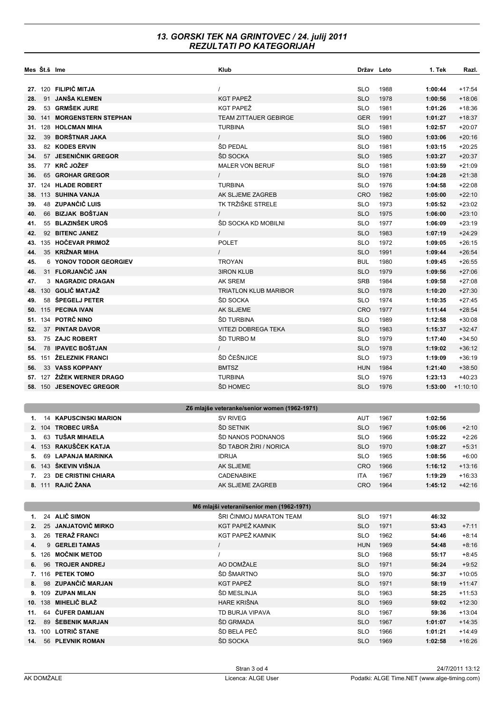#### *13. GORSKI TEK NA GRINTOVEC / 24. julij 2011 REZULTATI PO KATEGORIJAH*

| Mes St.š Ime                              |  |                                            | Klub                                         | Držav Leto               |              | 1. Tek             | Razi.                |  |  |  |
|-------------------------------------------|--|--------------------------------------------|----------------------------------------------|--------------------------|--------------|--------------------|----------------------|--|--|--|
|                                           |  | 27. 120 FILIPIČ MITJA                      | $\prime$                                     | <b>SLO</b>               | 1988         | 1:00:44            | $+17:54$             |  |  |  |
| 28.                                       |  | 91 JANŠA KLEMEN                            | <b>KGT PAPEŽ</b>                             | <b>SLO</b>               | 1978         | 1:00:56            | $+18:06$             |  |  |  |
| 29.                                       |  | 53 GRMŠEK JURE                             | KGT PAPEŽ                                    | <b>SLO</b>               | 1981         | 1:01:26            | $+18:36$             |  |  |  |
|                                           |  | 30. 141 MORGENSTERN STEPHAN                | <b>TEAM ZITTAUER GEBIRGE</b>                 | <b>GER</b>               | 1991         | 1:01:27            | $+18:37$             |  |  |  |
|                                           |  | 31. 128 HOLCMAN MIHA                       | <b>TURBINA</b>                               | <b>SLO</b>               | 1981         | 1:02:57            | $+20:07$             |  |  |  |
| 32.                                       |  | 39 BORŠTNAR JAKA                           | $\prime$                                     | <b>SLO</b>               | 1980         | 1:03:06            | $+20:16$             |  |  |  |
| 33.                                       |  | 82 KODES ERVIN                             | <b>ŠD PEDAL</b>                              | <b>SLO</b>               | 1981         | 1:03:15            | $+20:25$             |  |  |  |
| 34.                                       |  | 57 JESENIČNIK GREGOR                       | ŠD SOCKA                                     | <b>SLO</b>               | 1985         | 1:03:27            | $+20:37$             |  |  |  |
| 35.                                       |  | 77 KRČ JOŽEF                               | <b>MALER VON BERUF</b>                       | <b>SLO</b>               | 1981         | 1:03:59            | $+21:09$             |  |  |  |
| 36.                                       |  | 65 GROHAR GREGOR                           | $\prime$                                     | <b>SLO</b>               | 1976         | 1:04:28            | $+21:38$             |  |  |  |
|                                           |  | 37. 124 HLADE ROBERT                       | <b>TURBINA</b>                               | <b>SLO</b>               | 1976         | 1:04:58            | $+22:08$             |  |  |  |
|                                           |  | 38. 113 SUHINA VANJA                       | AK SLJEME ZAGREB                             | <b>CRO</b>               | 1982         | 1:05:00            | $+22:10$             |  |  |  |
| 39.                                       |  | 48 ZUPANČIČ LUIS                           | TK TRŽIŠKE STRELE                            | <b>SLO</b>               | 1973         | 1:05:52            | $+23:02$             |  |  |  |
| 40.                                       |  | 66 BIZJAK BOŠTJAN                          | $\prime$                                     | <b>SLO</b>               | 1975         | 1:06:00            | $+23:10$             |  |  |  |
| 41.                                       |  | 55 BLAZINŠEK UROŠ                          | ŠD SOCKA KD MOBILNI                          | <b>SLO</b>               | 1977         | 1:06:09            | $+23:19$             |  |  |  |
| 42.                                       |  | 92 BITENC JANEZ                            | $\prime$                                     | <b>SLO</b>               | 1983         | 1:07:19            | $+24:29$             |  |  |  |
| 43.                                       |  | 135 HOČEVAR PRIMOŽ                         | <b>POLET</b>                                 | <b>SLO</b>               | 1972         | 1:09:05            | $+26:15$             |  |  |  |
| 44.                                       |  | 35 KRIŽNAR MIHA                            | $\prime$                                     | <b>SLO</b>               | 1991         | 1:09:44            | $+26:54$             |  |  |  |
| 45.                                       |  | 6 YONOV TODOR GEORGIEV                     | <b>TROYAN</b>                                | <b>BUL</b>               | 1980         | 1:09:45            | $+26:55$             |  |  |  |
| 46.                                       |  | 31 FLORJANČIČ JAN                          | <b>3IRON KLUB</b>                            | <b>SLO</b>               | 1979         | 1:09:56            | $+27:06$             |  |  |  |
| 47.                                       |  | 3 NAGRADIC DRAGAN                          | AK SREM                                      | <b>SRB</b>               | 1984         | 1:09:58            | $+27:08$             |  |  |  |
|                                           |  | 48. 130 GOLIČ MATJAŽ                       | <b>TRIATLON KLUB MARIBOR</b>                 | <b>SLO</b>               | 1978         | 1:10:20            | $+27:30$             |  |  |  |
| 49.                                       |  | 58 SPEGELJ PETER                           | ŠD SOCKA                                     | <b>SLO</b>               | 1974         | 1:10:35            | $+27:45$             |  |  |  |
|                                           |  | 50. 115 PECINA IVAN<br>51. 134 POTRČ NINO  | AK SLJEME<br>ŠD TURBINA                      | <b>CRO</b>               | 1977         | 1:11:44            | $+28:54$             |  |  |  |
| 52.                                       |  | 37 PINTAR DAVOR                            | <b>VITEZI DOBREGA TEKA</b>                   | <b>SLO</b><br><b>SLO</b> | 1989<br>1983 | 1:12:58<br>1:15:37 | $+30:08$<br>$+32:47$ |  |  |  |
| 53.                                       |  | 75 ZAJC ROBERT                             | ŠD TURBO M                                   | <b>SLO</b>               | 1979         | 1:17:40            | $+34:50$             |  |  |  |
| 54.                                       |  | 78 IPAVEC BOŠTJAN                          | $\prime$                                     | <b>SLO</b>               | 1978         | 1:19:02            | $+36:12$             |  |  |  |
|                                           |  | 55. 151 ŽELEZNIK FRANCI                    | ŠD ČEŠNJICE                                  | <b>SLO</b>               | 1973         | 1:19:09            | $+36:19$             |  |  |  |
| 56.                                       |  | 33 VASS KOPPANY                            | <b>BMTSZ</b>                                 | <b>HUN</b>               | 1984         | 1:21:40            | $+38:50$             |  |  |  |
|                                           |  | 57. 127 ŽIŽEK WERNER DRAGO                 | <b>TURBINA</b>                               | <b>SLO</b>               | 1976         | 1:23:13            | $+40:23$             |  |  |  |
|                                           |  | 58. 150 JESENOVEC GREGOR                   | ŠD HOMEC                                     | <b>SLO</b>               | 1976         | 1:53:00            | $+1:10:10$           |  |  |  |
|                                           |  |                                            |                                              |                          |              |                    |                      |  |  |  |
|                                           |  |                                            | Z6 mlajše veteranke/senior women (1962-1971) |                          |              |                    |                      |  |  |  |
| 1.                                        |  | <b>14 KAPUSCINSKI MARION</b>               | <b>SV RIVEG</b>                              | AUT                      | 1967         | 1:02:56            |                      |  |  |  |
|                                           |  | 2. 104 TROBEC URŠA                         | ŠD SETNIK                                    | <b>SLO</b>               | 1967         | 1:05:06            | $+2:10$              |  |  |  |
| 3.                                        |  | 63 TUŠAR MIHAELA                           | ŠD NANOS PODNANOS                            | <b>SLO</b>               | 1966         | 1:05:22            | $+2:26$              |  |  |  |
|                                           |  | 4. 153 RAKUŠČEK KATJA                      | ŠD TABOR ŽIRI / NORICA                       | <b>SLO</b>               | 1970         | 1:08:27            | $+5:31$              |  |  |  |
| 5.                                        |  | 69 LAPANJA MARINKA                         | <b>IDRIJA</b>                                | <b>SLO</b>               | 1965         | 1:08:56            | $+6:00$              |  |  |  |
|                                           |  | 6. 143 ŠKEVIN VIŠNJA                       | AK SLJEME                                    | <b>CRO</b>               | 1966         | 1:16:12            | $+13:16$             |  |  |  |
| 7.                                        |  | 23 DE CRISTINI CHIARA<br>8. 111 RAJIĆ ŽANA | CADENABIKE                                   | ITA                      | 1967         | 1:19:29            | $+16:33$             |  |  |  |
|                                           |  |                                            | AK SLJEME ZAGREB                             | <b>CRO</b>               | 1964         | 1:45:12            | $+42:16$             |  |  |  |
| M6 mlajši veterani/senior men (1962-1971) |  |                                            |                                              |                          |              |                    |                      |  |  |  |
| 1.                                        |  | 24 ALIČ SIMON                              | ŠRI ČINMOJ MARATON TEAM                      | <b>SLO</b>               | 1971         | 46:32              |                      |  |  |  |
| 2.                                        |  | 25 JANJATOVIČ MIRKO                        | KGT PAPEŽ KAMNIK                             | <b>SLO</b>               | 1971         | 53:43              | $+7:11$              |  |  |  |
| 3.                                        |  | 26 TERAŽ FRANCI                            | KGT PAPEŽ KAMNIK                             | <b>SLO</b>               | 1962         | 54:46              | $+8:14$              |  |  |  |
| 4.                                        |  | 9 GERLEI TAMAS                             | $\prime$                                     | <b>HUN</b>               | 1969         | 54:48              | $+8:16$              |  |  |  |
|                                           |  | 5. 126 MOČNIK METOD                        | $\prime$                                     | <b>SLO</b>               | 1968         | 55:17              | $+8:45$              |  |  |  |
| 6.                                        |  | 96 TROJER ANDREJ                           | AO DOMŽALE                                   | <b>SLO</b>               | 1971         | 56:24              | $+9:52$              |  |  |  |
|                                           |  | 7. 116 PETEK TOMO                          | ŠD ŠMARTNO                                   | <b>SLO</b>               | 1970         | 56:37              | $+10:05$             |  |  |  |
| 8.                                        |  | 98 ZUPANČIČ MARJAN                         | KGT PAPEŽ                                    | <b>SLO</b>               | 1971         | 58:19              | $+11:47$             |  |  |  |
|                                           |  | 9. 109 ZUPAN MILAN                         | ŠD MESLINJA                                  | <b>SLO</b>               | 1963         | 58:25              | $+11:53$             |  |  |  |
|                                           |  | 10. 138 MIHELIČ BLAŽ                       | HARE KRIŠNA                                  | <b>SLO</b>               | 1969         | 59:02              | $+12:30$             |  |  |  |
| 11.                                       |  | 64 ČUFER DAMIJAN                           | TD BURJA VIPAVA                              | <b>SLO</b>               | 1967         | 59:36              | $+13:04$             |  |  |  |
| 12.                                       |  | 89 ŠEBENIK MARJAN                          | ŠD GRMADA                                    | <b>SLO</b>               | 1967         | 1:01:07            | $+14:35$             |  |  |  |
|                                           |  | 13. 100 LOTRIČ STANE                       | ŠD BELA PEČ                                  | <b>SLO</b>               | 1966         | 1:01:21            | $+14:49$             |  |  |  |
|                                           |  | 14. 56 PLEVNIK ROMAN                       | ŠD SOCKA                                     | <b>SLO</b>               | 1969         | 1:02:58            | $+16:26$             |  |  |  |